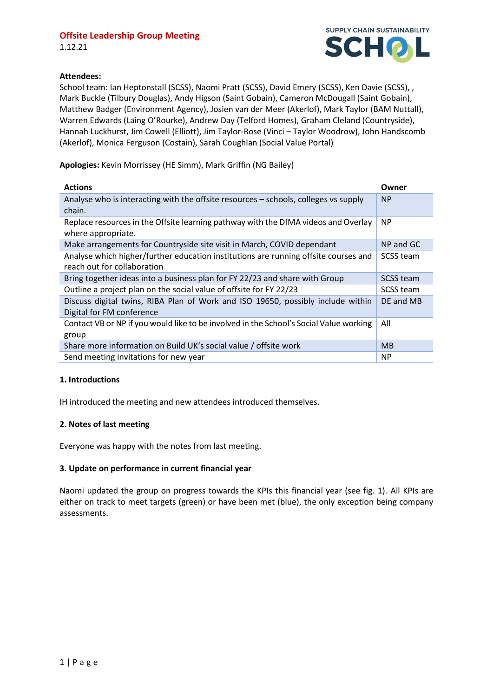1.12.21



## **Attendees:**

School team: Ian Heptonstall (SCSS), Naomi Pratt (SCSS), David Emery (SCSS), Ken Davie (SCSS), , Mark Buckle (Tilbury Douglas), Andy Higson (Saint Gobain), Cameron McDougall (Saint Gobain), Matthew Badger (Environment Agency), Josien van der Meer (Akerlof), Mark Taylor (BAM Nuttall), Warren Edwards (Laing O'Rourke), Andrew Day (Telford Homes), Graham Cleland (Countryside), Hannah Luckhurst, Jim Cowell (Elliott), Jim Taylor-Rose (Vinci – Taylor Woodrow), John Handscomb (Akerlof), Monica Ferguson (Costain), Sarah Coughlan (Social Value Portal)

**Apologies:** Kevin Morrissey (HE Simm), Mark Griffin (NG Bailey)

| <b>Actions</b>                                                                         | Owner            |
|----------------------------------------------------------------------------------------|------------------|
| Analyse who is interacting with the offsite resources - schools, colleges vs supply    | <b>NP</b>        |
| chain.                                                                                 |                  |
| Replace resources in the Offsite learning pathway with the DfMA videos and Overlay     | NP.              |
| where appropriate.                                                                     |                  |
| Make arrangements for Countryside site visit in March, COVID dependant                 | NP and GC        |
| Analyse which higher/further education institutions are running offsite courses and    | <b>SCSS team</b> |
| reach out for collaboration                                                            |                  |
| Bring together ideas into a business plan for FY 22/23 and share with Group            | <b>SCSS team</b> |
| Outline a project plan on the social value of offsite for FY 22/23                     | <b>SCSS team</b> |
| Discuss digital twins, RIBA Plan of Work and ISO 19650, possibly include within        | DE and MB        |
| Digital for FM conference                                                              |                  |
| Contact VB or NP if you would like to be involved in the School's Social Value working | All              |
| group                                                                                  |                  |
| Share more information on Build UK's social value / offsite work                       | M <sub>B</sub>   |
| Send meeting invitations for new year                                                  | NP.              |

## **1. Introductions**

IH introduced the meeting and new attendees introduced themselves.

## **2. Notes of last meeting**

Everyone was happy with the notes from last meeting.

## **3. Update on performance in current financial year**

Naomi updated the group on progress towards the KPIs this financial year (see fig. 1). All KPIs are either on track to meet targets (green) or have been met (blue), the only exception being company assessments.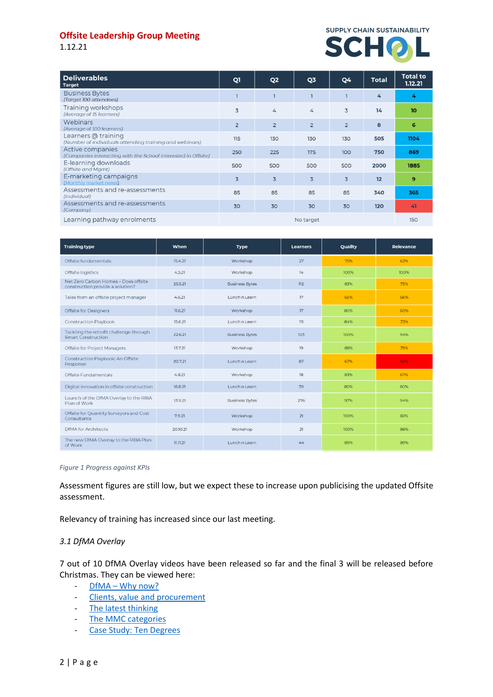1.12.21



| <b>Deliverables</b><br><b>Target</b>                                              | Q1             | Q <sub>2</sub> | Q3             | Q4             | <b>Total</b> | <b>Total to</b><br>1.12.21 |
|-----------------------------------------------------------------------------------|----------------|----------------|----------------|----------------|--------------|----------------------------|
| <b>Business Bytes</b><br>(Target 100 attendees)                                   |                |                |                | ٦              | 4            | 4                          |
| Training workshops<br>(Average of 15 learners)                                    | $\overline{3}$ | 4              | $\overline{4}$ | 3              | 14           | 10                         |
| Webinars<br>(Average of 100 learners)                                             | $\overline{2}$ | $\overline{2}$ | $\overline{2}$ | $\overline{2}$ | 8            | 6                          |
| Learners @ training<br>(Number of individuals attending training and webinars)    | 115            | 130            | 130            | 130            | 505          | 1104                       |
| Active companies<br>(Companies interacting with the School interested in Offsite) | 250            | 225            | 175            | 100            | 750          | 869                        |
| E-learning downloads<br>(Offsite and Mamt)                                        | 500            | 500            | 500            | 500            | 2000         | 1885                       |
| E-marketing campaigns<br>(Monthly market news)                                    | $\overline{3}$ | $\overline{3}$ | 3              | $\overline{3}$ | 12           | 9                          |
| Assessments and re-assessments<br>(Individual)                                    | 85             | 85             | 85             | 85             | 340          | 365                        |
| Assessments and re-assessments<br>(Company)                                       | 30             | 30             | 30             | 30             | 120          | 41                         |
| Learning pathway enrolments                                                       | No target      |                |                |                |              | 150                        |

| <b>Training type</b>                                                     | When     | <b>Type</b>           | <b>Learners</b> | Quality | Relevance |
|--------------------------------------------------------------------------|----------|-----------------------|-----------------|---------|-----------|
| Offsite fundamentals                                                     | 15.4.21  | Workshop              | 27              | 75%     | 63%       |
| Offsite logistics                                                        | 4.5.21   | Workshop              | 14              | 100%    | 100%      |
| Net Zero Carbon Homes - Does offsite<br>construction provide a solution? | 25.5.21  | <b>Business Bytes</b> | 112             | 83%     | 75%       |
| Tales from an offsite project manager                                    | 4.6.21   | Lunch n Learn         | 17              | 66%     | 66%       |
| Offsite for Designers                                                    | 11.6.21  | Workshop              | 17              | 80%     | 60%       |
| Construction Playbook                                                    | 15.6.21  | Lunch n Learn         | 111             | 84%     | 73%       |
| Tackling the retrofit challenge through<br><b>Smart Construction</b>     | 22.6.21  | <b>Business Bytes</b> | 103             | 100%    | 94%       |
| <b>Offsite for Project Managers</b>                                      | 13.7.21  | Workshop              | 19              | 88%     | 75%       |
| Construction Playbook: An Offsite<br>Response                            | 20.7.21  | Lunch n Learn         | 87              | 67%     | 50%       |
| Offsite Fundamentals                                                     | 4.8.21   | Workshop              | 18              | 83%     | 67%       |
| Digital innovation in offsite construction                               | 16.8.21  | Lunch n Learn         | 39              | 80%     | 80%       |
| Launch of the DfMA Overlay to the RIBA<br>Plan of Work                   | 13.9.21  | <b>Business Bytes</b> | 276             | 97%     | 94%       |
| Offsite for Quantity Surveyors and Cost<br>Consultants                   | 7.9.21   | Workshop              | 21              | 100%    | 82%       |
| <b>DfMA</b> for Architects                                               | 20.10.21 | Workshop              | 21              | 100%    | 86%       |
| The new DfMA Overlay to the RIBA Plan<br>of Work                         | 11.11.21 | Lunch n Learn         | 44              | 89%     | 89%       |

#### *Figure 1 Progress against KPIs*

Assessment figures are still low, but we expect these to increase upon publicising the updated Offsite assessment.

Relevancy of training has increased since our last meeting.

## *3.1 DfMA Overlay*

7 out of 10 DfMA Overlay videos have been released so far and the final 3 will be released before Christmas. They can be viewed here:

- $-$  DfMA [Why now?](https://learn.supplychainschool.co.uk/local/tlactionplans/resource_intro.php?id=7219&modtype=page)
- [Clients, value and procurement](https://learn.supplychainschool.co.uk/local/tlactionplans/resource_intro.php?id=7339&modtype=page)
- [The latest thinking](https://learn.supplychainschool.co.uk/local/tlactionplans/resource_intro.php?id=7378&modtype=page)
- [The MMC categories](https://learn.supplychainschool.co.uk/local/tlactionplans/resource_intro.php?id=7242&modtype=page)
- [Case Study: Ten Degrees](https://learn.supplychainschool.co.uk/local/tlactionplans/resource_intro.php?id=7327&modtype=page)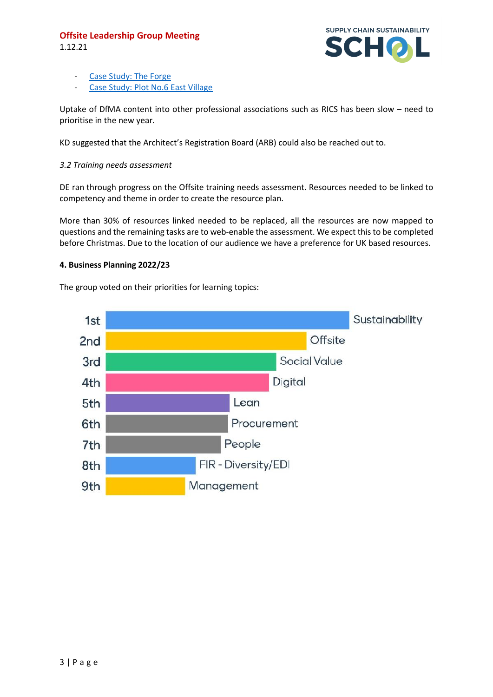1.12.21



- [Case Study: The Forge](https://learn.supplychainschool.co.uk/local/tlactionplans/resource_intro.php?id=7340&modtype=page)
- [Case Study: Plot No.6 East Village](https://learn.supplychainschool.co.uk/local/tlactionplans/resource_intro.php?id=7376&modtype=page)

Uptake of DfMA content into other professional associations such as RICS has been slow – need to prioritise in the new year.

KD suggested that the Architect's Registration Board (ARB) could also be reached out to.

## *3.2 Training needs assessment*

DE ran through progress on the Offsite training needs assessment. Resources needed to be linked to competency and theme in order to create the resource plan.

More than 30% of resources linked needed to be replaced, all the resources are now mapped to questions and the remaining tasks are to web-enable the assessment. We expect this to be completed before Christmas. Due to the location of our audience we have a preference for UK based resources.

## **4. Business Planning 2022/23**

The group voted on their priorities for learning topics:

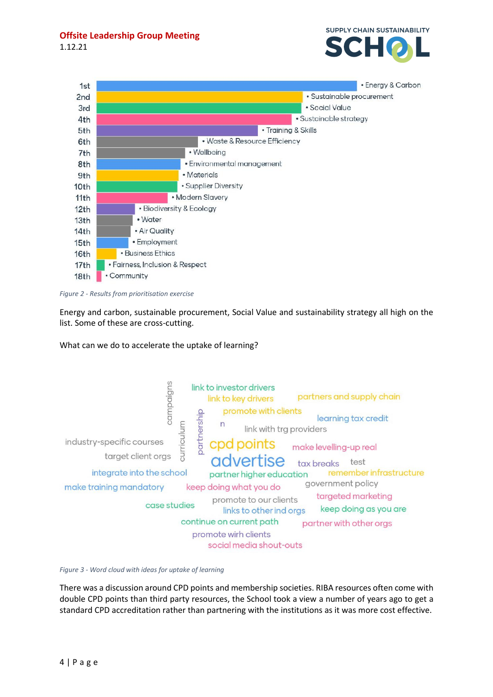1.12.21





*Figure 2 - Results from prioritisation exercise*

Energy and carbon, sustainable procurement, Social Value and sustainability strategy all high on the list. Some of these are cross-cutting.

What can we do to accelerate the uptake of learning?



*Figure 3 - Word cloud with ideas for uptake of learning*

There was a discussion around CPD points and membership societies. RIBA resources often come with double CPD points than third party resources, the School took a view a number of years ago to get a standard CPD accreditation rather than partnering with the institutions as it was more cost effective.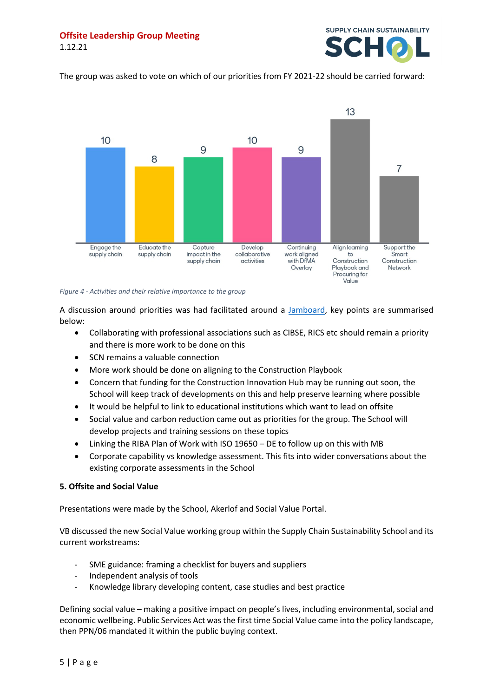

The group was asked to vote on which of our priorities from FY 2021-22 should be carried forward:



#### *Figure 4 - Activities and their relative importance to the group*

A discussion around priorities was had facilitated around a [Jamboard,](https://jamboard.google.com/d/1GJl-fcjNSLHuPAeFNO2KnVsKinOG7S9O7Fdb0s6miSI/viewer?f=2) key points are summarised below:

- Collaborating with professional associations such as CIBSE, RICS etc should remain a priority and there is more work to be done on this
- SCN remains a valuable connection
- More work should be done on aligning to the Construction Playbook
- Concern that funding for the Construction Innovation Hub may be running out soon, the School will keep track of developments on this and help preserve learning where possible
- It would be helpful to link to educational institutions which want to lead on offsite
- Social value and carbon reduction came out as priorities for the group. The School will develop projects and training sessions on these topics
- Linking the RIBA Plan of Work with ISO 19650 DE to follow up on this with MB
- Corporate capability vs knowledge assessment. This fits into wider conversations about the existing corporate assessments in the School

## **5. Offsite and Social Value**

Presentations were made by the School, Akerlof and Social Value Portal.

VB discussed the new Social Value working group within the Supply Chain Sustainability School and its current workstreams:

- SME guidance: framing a checklist for buyers and suppliers
- Independent analysis of tools
- Knowledge library developing content, case studies and best practice

Defining social value – making a positive impact on people's lives, including environmental, social and economic wellbeing. Public Services Act was the first time Social Value came into the policy landscape, then PPN/06 mandated it within the public buying context.